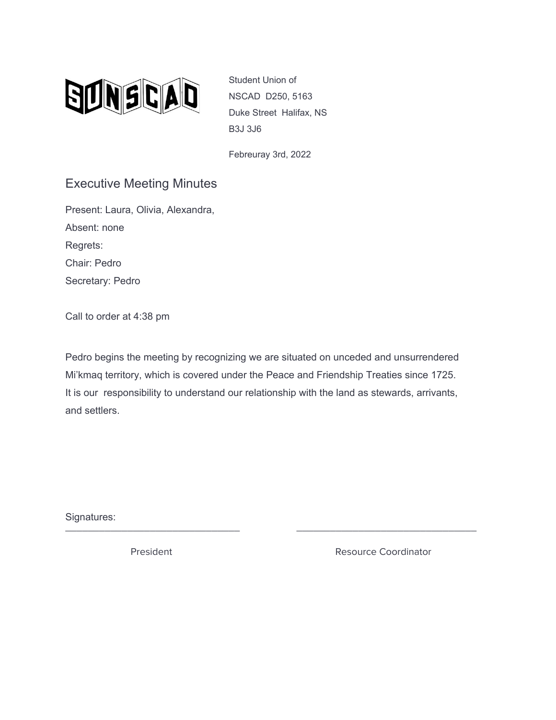

Student Union of NSCAD D250, 5163 Duke Street Halifax, NS B3J 3J6

Febreuray 3rd, 2022

## Executive Meeting Minutes

Present: Laura, Olivia, Alexandra, Absent: none Regrets: Chair: Pedro Secretary: Pedro

Call to order at 4:38 pm

Pedro begins the meeting by recognizing we are situated on unceded and unsurrendered Mi'kmaq territory, which is covered under the Peace and Friendship Treaties since 1725. It is our responsibility to understand our relationship with the land as stewards, arrivants, and settlers.

\_\_\_\_\_\_\_\_\_\_\_\_\_\_\_\_\_\_\_\_\_\_\_\_\_\_\_\_\_\_\_ \_\_\_\_\_\_\_\_\_\_\_\_\_\_\_\_\_\_\_\_\_\_\_\_\_\_\_\_\_\_\_\_

Signatures:

President **Resource Coordinator** Resource Coordinator